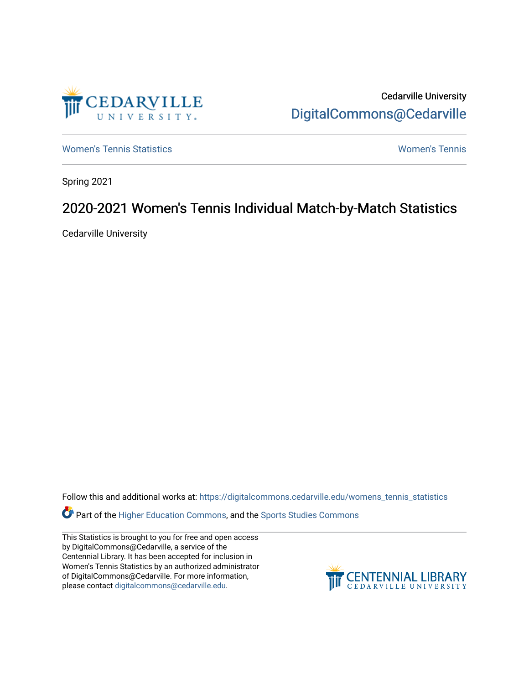

Cedarville University [DigitalCommons@Cedarville](https://digitalcommons.cedarville.edu/) 

[Women's Tennis Statistics](https://digitalcommons.cedarville.edu/womens_tennis_statistics) [Women's Tennis](https://digitalcommons.cedarville.edu/womens_tennis) 

Spring 2021

# 2020-2021 Women's Tennis Individual Match-by-Match Statistics

Cedarville University

Follow this and additional works at: [https://digitalcommons.cedarville.edu/womens\\_tennis\\_statistics](https://digitalcommons.cedarville.edu/womens_tennis_statistics?utm_source=digitalcommons.cedarville.edu%2Fwomens_tennis_statistics%2F262&utm_medium=PDF&utm_campaign=PDFCoverPages) 

Part of the [Higher Education Commons,](http://network.bepress.com/hgg/discipline/1245?utm_source=digitalcommons.cedarville.edu%2Fwomens_tennis_statistics%2F262&utm_medium=PDF&utm_campaign=PDFCoverPages) and the Sports Studies Commons

This Statistics is brought to you for free and open access by DigitalCommons@Cedarville, a service of the Centennial Library. It has been accepted for inclusion in Women's Tennis Statistics by an authorized administrator of DigitalCommons@Cedarville. For more information, please contact [digitalcommons@cedarville.edu](mailto:digitalcommons@cedarville.edu).

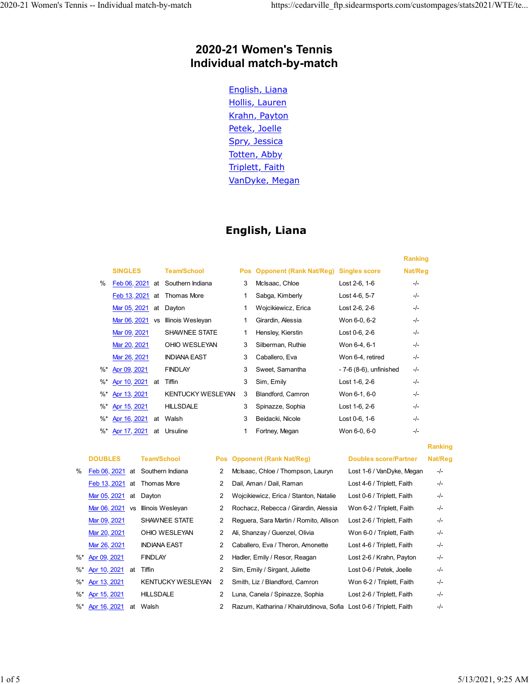# **2020-21 Women's Tennis Individual match-by-match**

English, Liana Hollis, Lauren Krahn, Payton Petek, Joelle Spry, Jessica Totten, Abby Triplett, Faith VanDyke, Megan

# **English, Liana**

|        |                |           |                                  |   |                             |                         | <b>Ranking</b> |
|--------|----------------|-----------|----------------------------------|---|-----------------------------|-------------------------|----------------|
|        | <b>SINGLES</b> |           | <b>Team/School</b>               |   | Pos Opponent (Rank Nat/Reg) | <b>Singles score</b>    | Nat/Reg        |
| $\%$   |                |           | Feb 06, 2021 at Southern Indiana | 3 | McIsaac, Chloe              | Lost 2-6, 1-6           | -/-            |
|        |                |           | Feb 13, 2021 at Thomas More      | 1 | Sabga, Kimberly             | Lost 4-6, 5-7           | -/-            |
|        | Mar 05, 2021   | at        | Dayton                           | 1 | Wojcikiewicz, Erica         | Lost 2-6, 2-6           | -/-            |
|        | Mar 06, 2021   | <b>VS</b> | Illinois Wesleyan                | 1 | Girardin, Alessia           | Won 6-0, 6-2            | -/-            |
|        | Mar 09, 2021   |           | <b>SHAWNEE STATE</b>             | 1 | Hensley, Kierstin           | Lost 0-6, 2-6           | -/-            |
|        | Mar 20, 2021   |           | OHIO WESLEYAN                    | 3 | Silberman, Ruthie           | Won 6-4, 6-1            | -/-            |
|        | Mar 26, 2021   |           | <b>INDIANA EAST</b>              | 3 | Caballero, Eva              | Won 6-4, retired        | -/-            |
| %*     | Apr 09, 2021   |           | <b>FINDLAY</b>                   | 3 | Sweet, Samantha             | - 7-6 (8-6), unfinished | -/-            |
| $\%^*$ | Apr 10, 2021   | at        | Tiffin                           | 3 | Sim, Emily                  | Lost 1-6, 2-6           | -/-            |
| $\%^*$ | Apr 13, 2021   |           | <b>KENTUCKY WESLEYAN</b>         | 3 | Blandford, Camron           | Won 6-1, 6-0            | -/-            |
| $\%^*$ | Apr 15, 2021   |           | <b>HILLSDALE</b>                 | 3 | Spinazze, Sophia            | Lost 1-6, 2-6           | -/-            |
| %*     | Apr 16, 2021   | at        | Walsh                            | 3 | Beidacki, Nicole            | Lost 0-6, 1-6           | -/-            |
| $%$ *  | Apr 17, 2021   | at        | Ursuline                         | 1 | Fortney, Megan              | Won 6-0, 6-0            | -/-            |

| % |                           | Feb 06, 2021 at Southern Indiana  |
|---|---------------------------|-----------------------------------|
|   |                           | Feb 13, 2021 at Thomas More       |
|   | Mar 05, 2021 at Dayton    |                                   |
|   |                           | Mar 06, 2021 vs Illinois Wesleyan |
|   | Mar 09, 2021              | SHAWNEE STATE                     |
|   | Mar 20, 2021              | OHIO WESLEYAN                     |
|   |                           |                                   |
|   | %* Apr 09, 2021           | <b>FINDLAY</b>                    |
|   | %* Apr 10, 2021 at Tiffin |                                   |
|   | %* Apr 13, 2021           | <b>KENTUCKY WESLEY</b>            |
|   | %* Apr 15, 2021           | <b>HILLSDALE</b>                  |
|   | %* Apr 16, 2021 at Walsh  |                                   |

|    |                    |           |                                  |                |                                        |                              | <b>Ranking</b> |
|----|--------------------|-----------|----------------------------------|----------------|----------------------------------------|------------------------------|----------------|
|    | <b>DOUBLES</b>     |           | <b>Team/School</b>               |                | Pos Opponent (Rank Nat/Reg)            | <b>Doubles score/Partner</b> | Nat/Reg        |
| %  |                    |           | Feb 06, 2021 at Southern Indiana | 2              | McIsaac, Chloe / Thompson, Lauryn      | Lost 1-6 / VanDyke, Megan    | $-/-$          |
|    |                    |           | Feb 13, 2021 at Thomas More      | 2              | Dail, Aman / Dail, Raman               | Lost 4-6 / Triplett, Faith   | $-/-$          |
|    | Mar 05, 2021       | at        | Dayton                           | 2              | Wojcikiewicz, Erica / Stanton, Natalie | Lost 0-6 / Triplett, Faith   | $-/-$          |
|    | Mar 06, 2021       | <b>VS</b> | Illinois Wesleyan                | 2              | Rochacz, Rebecca / Girardin, Alessia   | Won 6-2 / Triplett, Faith    | $-/-$          |
|    | Mar 09, 2021       |           | SHAWNEE STATE                    | 2              | Reguera, Sara Martin / Romito, Allison | Lost 2-6 / Triplett, Faith   | $-/-$          |
|    | Mar 20, 2021       |           | OHIO WESLEYAN                    | 2              | Ali, Shanzay / Guenzel, Olivia         | Won 6-0 / Triplett, Faith    | $-/-$          |
|    | Mar 26, 2021       |           | <b>INDIANA EAST</b>              | 2              | Caballero, Eva / Theron, Amonette      | Lost 4-6 / Triplett, Faith   | $-/-$          |
| %* | Apr 09, 2021       |           | <b>FINDLAY</b>                   | 2              | Hadler, Emily / Resor, Reagan          | Lost 2-6 / Krahn, Payton     | $-/-$          |
|    | %* Apr 10, 2021 at |           | Tiffin                           | $\overline{2}$ | Sim, Emily / Sirgant, Juliette         | Lost 0-6 / Petek. Joelle     | $-/-$          |
| %* | Apr 13, 2021       |           | <b>KENTUCKY WESLEYAN</b>         | 2              | Smith, Liz / Blandford, Camron         | Won 6-2 / Triplett, Faith    | $-/-$          |
|    | %* Apr 15, 2021    |           | <b>HILLSDALE</b>                 | 2              | Luna, Canela / Spinazze, Sophia        | Lost 2-6 / Triplett, Faith   | -/-            |
|    |                    |           |                                  |                |                                        |                              |                |

2 Razum, Katharina / Khairutdinova, Sofia Lost 0-6 / Triplett, Faith -/-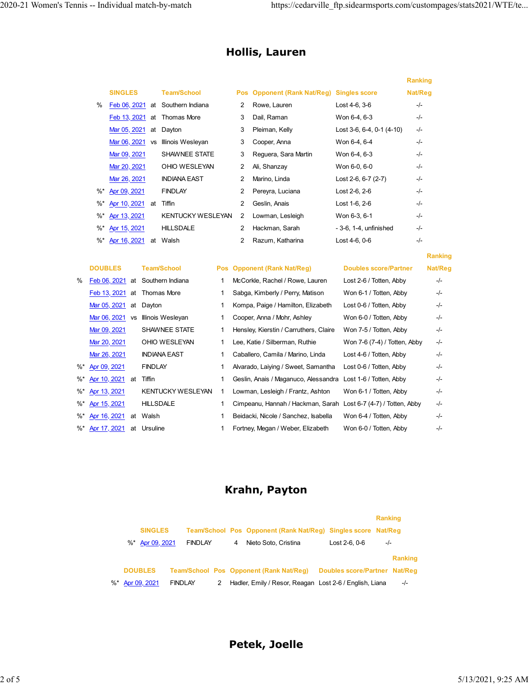**Ranking**

# **Hollis, Lauren**

|          |                 |           |                                  |   |                                           |                             | <b>Ranking</b> |
|----------|-----------------|-----------|----------------------------------|---|-------------------------------------------|-----------------------------|----------------|
|          | <b>SINGLES</b>  |           | <b>Team/School</b>               |   | Pos Opponent (Rank Nat/Reg) Singles score |                             | Nat/Reg        |
| $\%$     |                 |           | Feb 06, 2021 at Southern Indiana | 2 | Rowe, Lauren                              | Lost 4-6, 3-6               | $-/-$          |
|          | Feb 13, 2021 at |           | Thomas More                      | 3 | Dail, Raman                               | Won 6-4, 6-3                | $-/-$          |
|          | Mar 05, 2021 at |           | Dayton                           | 3 | Pleiman, Kelly                            | Lost 3-6, 6-4, 0-1 $(4-10)$ | $-/-$          |
|          | Mar 06, 2021    | <b>VS</b> | Illinois Wesleyan                | 3 | Cooper, Anna                              | Won 6-4, 6-4                | $-/-$          |
|          | Mar 09, 2021    |           | <b>SHAWNEE STATE</b>             | 3 | Reguera, Sara Martin                      | Won 6-4, 6-3                | $-/-$          |
|          | Mar 20, 2021    |           | OHIO WESLEYAN                    | 2 | Ali, Shanzay                              | Won 6-0, 6-0                | $-/-$          |
|          | Mar 26, 2021    |           | <b>INDIANA EAST</b>              | 2 | Marino, Linda                             | Lost 2-6, 6-7 (2-7)         | $-/-$          |
| $\%^{*}$ | Apr 09, 2021    |           | <b>FINDLAY</b>                   | 2 | Pereyra, Luciana                          | Lost 2-6, 2-6               | $-/-$          |
| %*       | Apr 10, 2021    | at        | Tiffin                           | 2 | Geslin, Anais                             | Lost 1-6, 2-6               | $-/-$          |
| $\%^*$   | Apr 13, 2021    |           | <b>KENTUCKY WESLEYAN</b>         | 2 | Lowman, Lesleigh                          | Won 6-3, 6-1                | $-/-$          |
| $\%^*$   | Apr 15, 2021    |           | <b>HILLSDALE</b>                 | 2 | Hackman, Sarah                            | - 3-6, 1-4, unfinished      | $-/-$          |
| %*       | Apr 16, 2021    | at        | Walsh                            | 2 | Razum, Katharina                          | Lost 4-6, 0-6               | $-/-$          |

|   | <b>DOUBLES</b>  |           | <b>Team/School</b>               | Pos Opponent (Rank Nat/Reg)                                     | <b>Doubles score/Partner</b> | <b>Nat/Reg</b> |
|---|-----------------|-----------|----------------------------------|-----------------------------------------------------------------|------------------------------|----------------|
| ℅ |                 |           | Feb 06, 2021 at Southern Indiana | McCorkle, Rachel / Rowe, Lauren                                 | Lost 2-6 / Totten, Abby      | $-/-$          |
|   |                 |           | Feb 13, 2021 at Thomas More      | Sabga, Kimberly / Perry, Matison                                | Won 6-1 / Totten, Abby       | $-/-$          |
|   | Mar 05, 2021    | at        | Dayton                           | Kompa, Paige / Hamilton, Elizabeth                              | Lost 0-6 / Totten, Abby      | $-/-$          |
|   | Mar 06, 2021    | <b>VS</b> | Illinois Wesleyan                | Cooper, Anna / Mohr, Ashley                                     | Won 6-0 / Totten, Abby       | $-/-$          |
|   | Mar 09, 2021    |           | SHAWNEE STATE                    | Hensley, Kierstin / Carruthers, Claire                          | Won 7-5 / Totten, Abby       | $-/-$          |
|   | Mar 20, 2021    |           | OHIO WESLEYAN                    | Lee, Katie / Silberman, Ruthie                                  | Won 7-6 (7-4) / Totten, Abby | $-/-$          |
|   | Mar 26, 2021    |           | <b>INDIANA EAST</b>              | Caballero, Camila / Marino, Linda                               | Lost 4-6 / Totten, Abby      | $-/-$          |
|   | %* Apr 09, 2021 |           | <b>FINDLAY</b>                   | Alvarado, Laiying / Sweet, Samantha                             | Lost 0-6 / Totten, Abby      | $-/-$          |
|   | %* Apr 10, 2021 | at        | Tiffin                           | Geslin, Anais / Maganuco, Alessandra                            | Lost 1-6 / Totten, Abby      | $-/-$          |
|   | %* Apr 13, 2021 |           | <b>KENTUCKY WESLEYAN</b>         | Lowman, Lesleigh / Frantz, Ashton                               | Won 6-1 / Totten, Abby       | $-/-$          |
|   | %* Apr 15, 2021 |           | <b>HILLSDALE</b>                 | Cimpeanu, Hannah / Hackman, Sarah Lost 6-7 (4-7) / Totten, Abby |                              | $-/-$          |
|   | %* Apr 16, 2021 | at        | Walsh                            | Beidacki, Nicole / Sanchez, Isabella                            | Won 6-4 / Totten, Abby       | $-/-$          |
|   | %* Apr 17, 2021 | at        | Ursuline                         | Fortney, Megan / Weber, Elizabeth                               | Won 6-0 / Totten, Abby       | $-/-$          |

# **Krahn, Payton**

|  |                 |                |   |                                                               |                               | <b>Ranking</b> |                |
|--|-----------------|----------------|---|---------------------------------------------------------------|-------------------------------|----------------|----------------|
|  | <b>SINGLES</b>  |                |   | Team/School Pos Opponent (Rank Nat/Reg) Singles score Nat/Reg |                               |                |                |
|  | %* Apr 09, 2021 | <b>FINDLAY</b> | 4 | Nieto Soto, Cristina                                          | Lost 2-6, 0-6                 | $-/-$          |                |
|  |                 |                |   |                                                               |                               |                | <b>Ranking</b> |
|  | <b>DOUBLES</b>  |                |   | Team/School Pos Opponent (Rank Nat/Reg)                       | Doubles score/Partner Nat/Reg |                |                |
|  | %* Apr 09, 2021 | <b>FINDLAY</b> |   | Hadler, Emily / Resor, Reagan Lost 2-6 / English, Liana       |                               |                | -/-            |

**Petek, Joelle**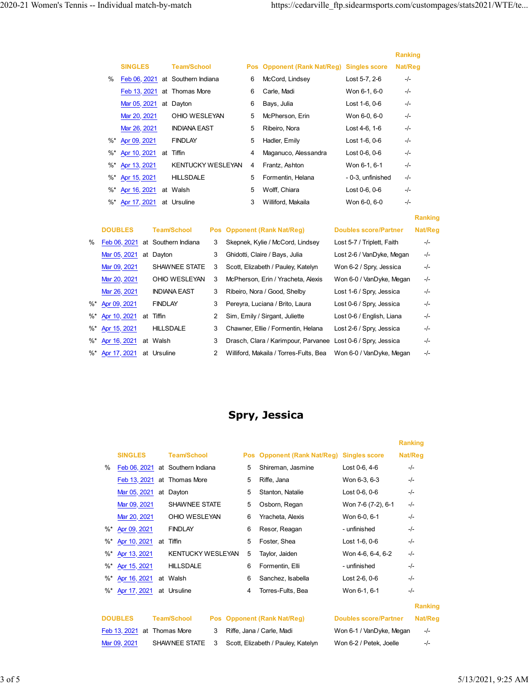**Ranking**

|    |                        |    |                                  |   |                                           |                   | <b>Ranking</b> |
|----|------------------------|----|----------------------------------|---|-------------------------------------------|-------------------|----------------|
|    | <b>SINGLES</b>         |    | <b>Team/School</b>               |   | Pos Opponent (Rank Nat/Reg) Singles score |                   | Nat/Reg        |
| %  |                        |    | Feb 06, 2021 at Southern Indiana | 6 | McCord, Lindsey                           | Lost 5-7, 2-6     | $-/-$          |
|    |                        |    | Feb 13, 2021 at Thomas More      | 6 | Carle, Madi                               | Won 6-1, 6-0      | $-/-$          |
|    | Mar 05, 2021 at Dayton |    |                                  | 6 | Bays, Julia                               | Lost 1-6, 0-6     | -/-            |
|    | Mar 20, 2021           |    | OHIO WESLEYAN                    | 5 | McPherson, Erin                           | Won 6-0, 6-0      | $-/-$          |
|    | Mar 26, 2021           |    | <b>INDIANA EAST</b>              | 5 | Ribeiro, Nora                             | Lost 4-6, 1-6     | -/-            |
| %* | Apr 09, 2021           |    | <b>FINDLAY</b>                   | 5 | Hadler, Emily                             | Lost 1-6, 0-6     | -/-            |
| %* | Apr 10, 2021           | at | Tiffin                           | 4 | Maganuco, Alessandra                      | Lost 0-6, 0-6     | -/-            |
| %* | Apr 13, 2021           |    | <b>KENTUCKY WESLEYAN</b>         | 4 | Frantz, Ashton                            | Won 6-1, 6-1      | -/-            |
| %* | Apr 15, 2021           |    | <b>HILLSDALE</b>                 | 5 | Formentin, Helana                         | - 0-3. unfinished | -/-            |
| %* | Apr 16, 2021           |    | at Walsh                         | 5 | Wolff, Chiara                             | Lost 0-6, 0-6     | -/-            |
|    | %* Apr 17, 2021        |    | at Ursuline                      | 3 | Williford, Makaila                        | Won 6-0, 6-0      | $-/-$          |

|      | <b>DOUBLES</b>  |    | <b>Team/School</b>               |   | Pos Opponent (Rank Nat/Reg)                                  | <b>Doubles score/Partner</b> | Nat/Reg |
|------|-----------------|----|----------------------------------|---|--------------------------------------------------------------|------------------------------|---------|
| $\%$ |                 |    | Feb 06, 2021 at Southern Indiana | 3 | Skepnek, Kylie / McCord, Lindsey                             | Lost 5-7 / Triplett, Faith   | -/-     |
|      | Mar 05, 2021    | at | Dayton                           | 3 | Ghidotti, Claire / Bays, Julia                               | Lost 2-6 / VanDyke, Megan    | $-/-$   |
|      | Mar 09, 2021    |    | SHAWNEE STATE                    | 3 | Scott, Elizabeth / Pauley, Katelyn                           | Won 6-2 / Spry, Jessica      | -/-     |
|      | Mar 20, 2021    |    | OHIO WESLEYAN                    | 3 | McPherson, Erin / Yracheta, Alexis                           | Won 6-0 / VanDyke, Megan     | $-/-$   |
|      | Mar 26, 2021    |    | <b>INDIANA EAST</b>              | 3 | Ribeiro, Nora / Good, Shelby                                 | Lost 1-6 / Spry, Jessica     | -/-     |
|      | %* Apr 09, 2021 |    | <b>FINDLAY</b>                   | 3 | Pereyra, Luciana / Brito, Laura                              | Lost 0-6 / Spry, Jessica     | -/-     |
|      | %* Apr 10, 2021 | at | Tiffin                           | 2 | Sim, Emily / Sirgant, Juliette                               | Lost 0-6 / English, Liana    | -/-     |
|      | %* Apr 15, 2021 |    | <b>HILLSDALE</b>                 | 3 | Chawner, Ellie / Formentin, Helana                           | Lost 2-6 / Spry, Jessica     | -/-     |
|      | %* Apr 16, 2021 |    | at Walsh                         | 3 | Drasch, Clara / Karimpour, Parvanee Lost 0-6 / Spry, Jessica |                              | -/-     |
|      | %* Apr 17, 2021 | at | Ursuline                         | 2 | Williford, Makaila / Torres-Fults, Bea                       | Won 6-0 / VanDyke, Megan     | $-/-$   |

# **Spry, Jessica**

|          |                |    |                                  |            |            |                                    |                              | Ranking |
|----------|----------------|----|----------------------------------|------------|------------|------------------------------------|------------------------------|---------|
|          | <b>SINGLES</b> |    | <b>Team/School</b>               |            | <b>Pos</b> | <b>Opponent (Rank Nat/Reg)</b>     | <b>Singles score</b>         | Nat/Reg |
| %        |                |    | Feb 06, 2021 at Southern Indiana |            | 5          | Shireman, Jasmine                  | Lost 0-6, 4-6                | -/-     |
|          | Feb 13, 2021   |    | at Thomas More                   |            | 5          | Riffe, Jana                        | Won 6-3, 6-3                 | $-/-$   |
|          | Mar 05, 2021   |    | at Dayton                        |            | 5          | Stanton, Natalie                   | Lost 0-6, 0-6                | $-/-$   |
|          | Mar 09, 2021   |    | <b>SHAWNEE STATE</b>             |            | 5          | Osborn, Regan                      | Won 7-6 (7-2), 6-1           | $-/-$   |
|          | Mar 20, 2021   |    | OHIO WESLEYAN                    |            | 6          | Yracheta, Alexis                   | Won 6-0, 6-1                 | $-/-$   |
| $%$ *    | Apr 09, 2021   |    | <b>FINDLAY</b>                   |            | 6          | Resor, Reagan                      | - unfinished                 | $-/-$   |
| $\%^*$   | Apr 10, 2021   | at | Tiffin                           |            | 5          | Foster, Shea                       | Lost 1-6, 0-6                | $-/-$   |
| $\%$ *   | Apr 13, 2021   |    | <b>KENTUCKY WESLEYAN</b>         |            | 5          | Taylor, Jaiden                     | Won 4-6, 6-4, 6-2            | $-/-$   |
| $\%$ *   | Apr 15, 2021   |    | <b>HILLSDALE</b>                 |            | 6          | Formentin, Elli                    | - unfinished                 | $-/-$   |
| $\%$ *   | Apr 16, 2021   |    | at Walsh                         |            | 6          | Sanchez, Isabella                  | Lost 2-6, 0-6                | -/-     |
| $\%^{*}$ | Apr 17, 2021   |    | at Ursuline                      |            | 4          | Torres-Fults, Bea                  | Won 6-1, 6-1                 | $-/-$   |
|          |                |    |                                  |            |            |                                    |                              | Ranking |
|          | <b>DOUBLES</b> |    | <b>Team/School</b>               | <b>Pos</b> |            | <b>Opponent (Rank Nat/Reg)</b>     | <b>Doubles score/Partner</b> | Nat/Reg |
|          | Feb 13, 2021   |    | at Thomas More                   | 3          |            | Riffe, Jana / Carle, Madi          | Won 6-1 / VanDyke, Megan     | $-/-$   |
|          | Mar 09, 2021   |    | SHAWNEE STATE                    | 3          |            | Scott, Elizabeth / Pauley, Katelyn | Won 6-2 / Petek, Joelle      | $-/-$   |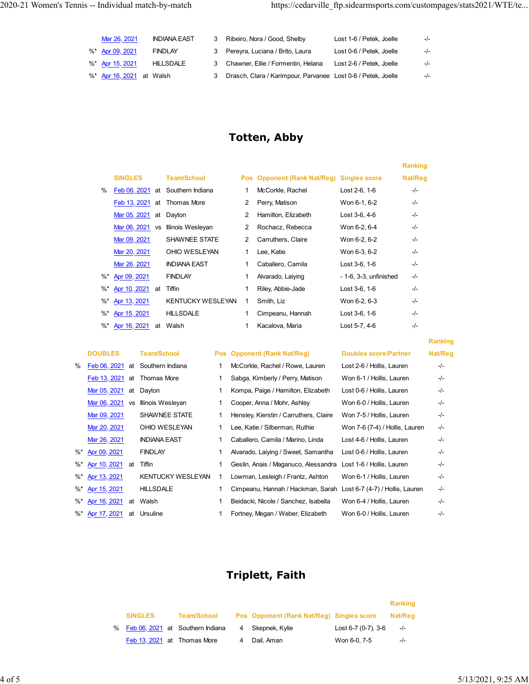| Mar 26, 2021             | <b>INDIANA EAST</b> | Ribeiro, Nora / Good, Shelby                                 | Lost 1-6 / Petek. Joelle | $-l -$ |
|--------------------------|---------------------|--------------------------------------------------------------|--------------------------|--------|
| %* Apr 09, 2021          | <b>FINDLAY</b>      | 3 Pereyra, Luciana / Brito, Laura                            | Lost 0-6 / Petek. Joelle | $-l$   |
| %* Apr 15, 2021          | <b>HILLSDALE</b>    | 3 Chawner, Ellie / Formentin, Helana                         | Lost 2-6 / Petek. Joelle | $-l -$ |
| %* Apr 16, 2021 at Walsh |                     | Drasch, Clara / Karimpour, Parvanee Lost 0-6 / Petek, Joelle |                          | $-I -$ |

# **Totten, Abby**

|        |                           |                                  |   |                             |                        | <b>Ranking</b> |
|--------|---------------------------|----------------------------------|---|-----------------------------|------------------------|----------------|
|        | <b>SINGLES</b>            | <b>Team/School</b>               |   | Pos Opponent (Rank Nat/Reg) | <b>Singles score</b>   | Nat/Reg        |
| %      |                           | Feb 06, 2021 at Southern Indiana | 1 | McCorkle, Rachel            | Lost 2-6, 1-6          | -/-            |
|        | Feb 13, 2021 at           | Thomas More                      | 2 | Perry, Matison              | Won 6-1, 6-2           | -/-            |
|        | Mar 05, 2021<br>at        | Dayton                           | 2 | Hamilton, Elizabeth         | Lost 3-6, 4-6          | -/-            |
|        | Mar 06, 2021<br><b>VS</b> | Illinois Wesleyan                | 2 | Rochacz, Rebecca            | Won 6-2, 6-4           | $-/-$          |
|        | Mar 09, 2021              | SHAWNEE STATE                    | 2 | Carruthers, Claire          | Won 6-2, 6-2           | $-/-$          |
|        | Mar 20, 2021              | OHIO WESLEYAN                    | 1 | Lee, Katie                  | Won 6-3, 6-2           | -/-            |
|        | Mar 26, 2021              | <b>INDIANA EAST</b>              | 1 | Caballero, Camila           | Lost 3-6, 1-6          | -/-            |
| %*     | Apr 09, 2021              | <b>FINDLAY</b>                   | 1 | Alvarado, Laiying           | - 1-6, 3-3, unfinished | -/-            |
| $\%^*$ | Apr 10, 2021<br>at        | <b>Tiffin</b>                    | 1 | Riley, Abbie-Jade           | Lost 3-6, 1-6          | $-I -$         |
| $\%^*$ | Apr 13, 2021              | <b>KENTUCKY WESLEYAN</b>         | 1 | Smith, Liz                  | Won 6-2, 6-3           | $-I -$         |
| $\%^*$ | <u>Apr 15, 2021</u>       | <b>HILLSDALE</b>                 | 1 | Cimpeanu, Hannah            | Lost 3-6, 1-6          | $-I -$         |
|        | %* Apr 16, 2021<br>at     | Walsh                            | 1 | Kacalova, Maria             | Lost 5-7, 4-6          | -/-            |

|    | <b>DOUBLES</b>  |           | <b>Team/School</b>       | Pos Opponent (Rank Nat/Reg)                                       | <b>Doubles score/Partner</b>   | Nat/Reg |
|----|-----------------|-----------|--------------------------|-------------------------------------------------------------------|--------------------------------|---------|
| %  | Feb 06, 2021 at |           | Southern Indiana         | McCorkle, Rachel / Rowe, Lauren                                   | Lost 2-6 / Hollis, Lauren      | -/-     |
|    | Feb 13, 2021    | at        | Thomas More              | Sabga, Kimberly / Perry, Matison                                  | Won 6-1 / Hollis, Lauren       | $-/-$   |
|    | Mar 05, 2021    | at        | Dayton                   | Kompa, Paige / Hamilton, Elizabeth                                | Lost 0-6 / Hollis, Lauren      | $-/-$   |
|    | Mar 06, 2021    | <b>VS</b> | Illinois Wesleyan        | Cooper, Anna / Mohr, Ashley                                       | Won 6-0 / Hollis, Lauren       | -/-     |
|    | Mar 09, 2021    |           | SHAWNEE STATE            | Hensley, Kierstin / Carruthers, Claire                            | Won 7-5 / Hollis, Lauren       | -/-     |
|    | Mar 20, 2021    |           | OHIO WESLEYAN            | Lee, Katie / Silberman, Ruthie                                    | Won 7-6 (7-4) / Hollis, Lauren | $-/-$   |
|    | Mar 26, 2021    |           | <b>INDIANA EAST</b>      | Caballero, Camila / Marino, Linda                                 | Lost 4-6 / Hollis, Lauren      | -/-     |
| %* | Apr 09, 2021    |           | <b>FINDLAY</b>           | Alvarado, Laiying / Sweet, Samantha                               | Lost 0-6 / Hollis, Lauren      | -/-     |
| %* | Apr 10, 2021    | at        | Tiffin                   | Geslin, Anais / Maganuco, Alessandra                              | Lost 1-6 / Hollis, Lauren      | -/-     |
|    | %* Apr 13, 2021 |           | <b>KENTUCKY WESLEYAN</b> | Lowman, Lesleigh / Frantz, Ashton                                 | Won 6-1 / Hollis, Lauren       | $-/-$   |
|    | %* Apr 15, 2021 |           | <b>HILLSDALE</b>         | Cimpeanu, Hannah / Hackman, Sarah Lost 6-7 (4-7) / Hollis, Lauren |                                | $-/-$   |
|    | %* Apr 16, 2021 | at        | Walsh                    | Beidacki, Nicole / Sanchez, Isabella                              | Won 6-4 / Hollis, Lauren       | -/-     |
|    | %* Apr 17, 2021 | at        | Ursuline                 | Fortney, Megan / Weber, Elizabeth                                 | Won 6-0 / Hollis, Lauren       | -/-     |

| : Nat/Reg)           | Doubles score/Partner           | nat/R |
|----------------------|---------------------------------|-------|
| / Rowe, Lauren       | Lost 2-6 / Hollis, Lauren       | -/-   |
| Perry, Matison       | Won 6-1 / Hollis, Lauren        | -/-   |
| amilton, Elizabeth   | Lost 0-6 / Hollis, Lauren       | -/-   |
| ohr, Ashley          | Won 6-0 / Hollis, Lauren        | -/-   |
| ' Carruthers, Claire | Won 7-5 / Hollis, Lauren        | -/-   |
| man, Ruthie          | Won 7-6 (7-4) / Hollis, Lauren  | -/-   |
| ı / Marino, Linda    | Lost 4-6 / Hollis, Lauren       | -/-   |
| / Sweet, Samantha    | Lost 0-6 / Hollis, Lauren       | -/-   |
| ganuco, Alessandra   | Lost 1-6 / Hollis, Lauren       | -/-   |
| ו / Frantz, Ashton   | Won 6-1 / Hollis, Lauren        | -/-   |
| ıh / Hackman, Sarah  | Lost 6-7 (4-7) / Hollis, Lauren | -/-   |
| Sanchez, Isabella    | Won 6-4 / Hollis, Lauren        | -/-   |
| Neber, Elizabeth     | Won 6-0 / Hollis, Lauren        | $-/-$ |
|                      |                                 |       |

**Ranking**

# **Triplett, Faith**

|                                    |                    |   |                                           |                     | Ranking |
|------------------------------------|--------------------|---|-------------------------------------------|---------------------|---------|
| <b>SINGLES</b>                     | <b>Team/School</b> |   | Pos Opponent (Rank Nat/Reg) Singles score |                     | Nat/Reg |
| % Feb 06, 2021 at Southern Indiana |                    | 4 | Skepnek. Kvlie                            | Lost 6-7 (0-7), 3-6 | $-/-$   |
| Feb 13, 2021 at Thomas More        |                    |   | Dail, Aman                                | Won 6-0, 7-5        | $-I -$  |